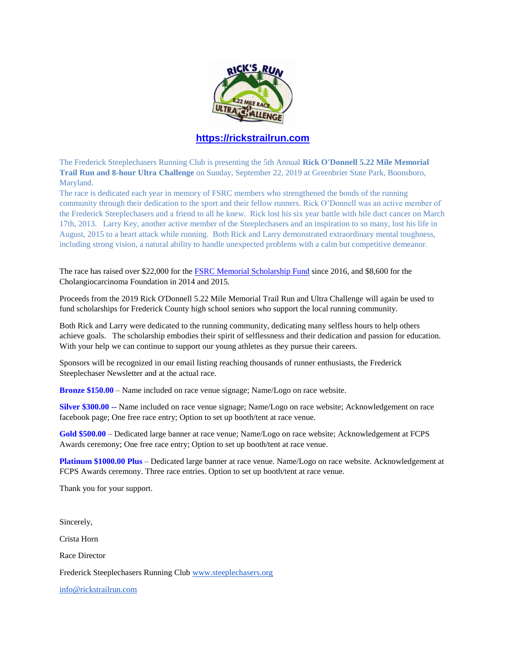

## **[https://rickstrailrun.com](https://rickstrailrun.com/)**

The Frederick Steeplechasers Running Club is presenting the 5th Annual **Rick O'Donnell 5.22 Mile Memorial Trail Run and 8-hour Ultra Challenge** on Sunday, September 22, 2019 at Greenbrier State Park, Boonsboro, Maryland.

The race is dedicated each year in memory of FSRC members who strengthened the bonds of the running community through their dedication to the sport and their fellow runners. Rick O'Donnell was an active member of the Frederick Steeplechasers and a friend to all he knew. Rick lost his six year battle with bile duct cancer on March 17th, 2013. Larry Key, another active member of the Steeplechasers and an inspiration to so many, lost his life in August, 2015 to a heart attack while running. Both Rick and Larry demonstrated extraordinary mental toughness, including strong vision, a natural ability to handle unexpected problems with a calm but competitive demeanor.

The race has raised over \$22,000 for the **FSRC Memorial Scholarship Fund** since 2016, and \$8,600 for the Cholangiocarcinoma Foundation in 2014 and 2015.

Proceeds from the 2019 Rick O'Donnell 5.22 Mile Memorial Trail Run and Ultra Challenge will again be used to fund scholarships for Frederick County high school seniors who support the local running community.

Both Rick and Larry were dedicated to the running community, dedicating many selfless hours to help others achieve goals. The scholarship embodies their spirit of selflessness and their dedication and passion for education. With your help we can continue to support our young athletes as they pursue their careers.

Sponsors will be recognized in our email listing reaching thousands of runner enthusiasts, the Frederick Steeplechaser Newsletter and at the actual race.

**Bronze \$150.00** – Name included on race venue signage; Name/Logo on race website.

**Silver \$300.00 -**- Name included on race venue signage; Name/Logo on race website; Acknowledgement on race facebook page; One free race entry; Option to set up booth/tent at race venue.

**Gold \$500.00** – Dedicated large banner at race venue; Name/Logo on race website; Acknowledgement at FCPS Awards ceremony; One free race entry; Option to set up booth/tent at race venue.

**Platinum \$1000.00 Plus** – Dedicated large banner at race venue. Name/Logo on race website. Acknowledgement at FCPS Awards ceremony. Three race entries. Option to set up booth/tent at race venue.

Thank you for your support.

Sincerely,

Crista Horn

Race Director

Frederick Steeplechasers Running Club [www.steeplechasers.org](http://www.steeplechasers.org/)

[info@rickstrailrun.com](mailto:info@rickstrailrun.com)